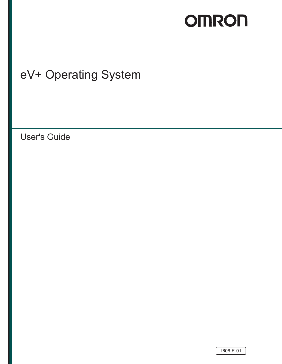# **OMRON**

## eV+ Operating System

User's Guide

l606-E-01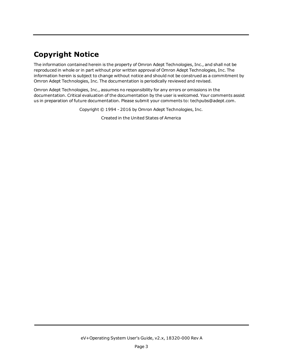## **Copyright Notice**

The information contained herein is the property of Omron Adept Technologies, Inc., and shall not be reproduced in whole or in part without prior written approval of Omron Adept Technologies, Inc. The information herein is subject to change without notice and should not be construed as a commitment by Omron Adept Technologies, Inc. The documentation is periodically reviewed and revised.

Omron Adept Technologies, Inc., assumes no responsibility for any errors or omissions in the documentation. Critical evaluation of the documentation by the user is welcomed. Your comments assist us in preparation of future documentation. Please submit your comments to: [techpubs@adept.com](mailto:techpubs@adept.com).

Copyright © 1994 - 2016 by Omron Adept Technologies, Inc.

Created in the United States of America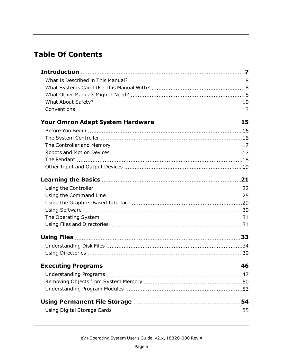## **Table Of Contents**

| 54 |
|----|
|    |
|    |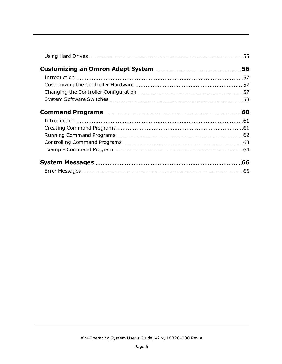| 56  |
|-----|
|     |
|     |
|     |
|     |
|     |
|     |
|     |
|     |
|     |
|     |
| .66 |
|     |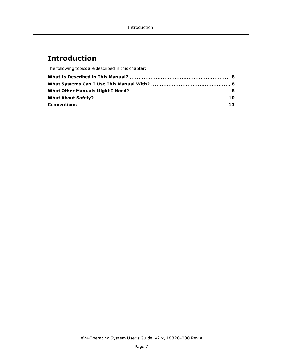## <span id="page-6-0"></span>**Introduction**

The following topics are described in this chapter: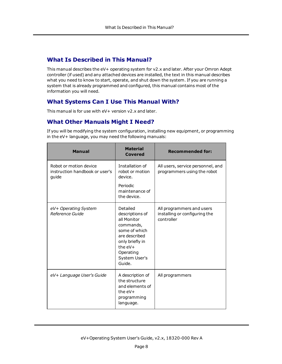## <span id="page-7-0"></span>**What Is Described in This Manual?**

This manual describes the eV+ operating system for v2.x and later. After your Omron Adept controller (if used) and any attached devices are installed, the text in this manual describes what you need to know to start, operate, and shut down the system. If you are running a system that is already programmed and configured, this manual contains most of the information you will need.

## <span id="page-7-1"></span>**What Systems Can I Use This Manual With?**

<span id="page-7-2"></span>This manual is for use with eV+ version v2.x and later.

## **What Other Manuals Might I Need?**

If you will be modifying the system configuration, installing new equipment, or programming in the eV+ language, you may need the following manuals:

| <b>Manual</b>                                                     | <b>Material</b><br><b>Covered</b>                                                                                                                                  | <b>Recommended for:</b>                                                  |
|-------------------------------------------------------------------|--------------------------------------------------------------------------------------------------------------------------------------------------------------------|--------------------------------------------------------------------------|
| Robot or motion device<br>instruction handbook or user's<br>quide | Installation of<br>robot or motion<br>device.                                                                                                                      | All users, service personnel, and<br>programmers using the robot         |
|                                                                   | Periodic<br>maintenance of<br>the device.                                                                                                                          |                                                                          |
| eV+ Operating System<br>Reference Guide                           | Detailed<br>descriptions of<br>all Monitor<br>commands,<br>some of which<br>are described<br>only briefly in<br>the $eV +$<br>Operating<br>System User's<br>Guide. | All programmers and users<br>installing or configuring the<br>controller |
| eV+ Language User's Guide                                         | A description of<br>the structure<br>and elements of<br>the $eV +$<br>programming<br>language.                                                                     | All programmers                                                          |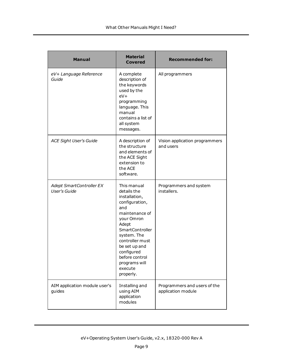| <b>Manual</b>                                   | <b>Material</b><br><b>Covered</b>                                                                                                                                                                                                                                    | <b>Recommended for:</b>                            |
|-------------------------------------------------|----------------------------------------------------------------------------------------------------------------------------------------------------------------------------------------------------------------------------------------------------------------------|----------------------------------------------------|
| eV+ Language Reference<br>Guide                 | A complete<br>description of<br>the keywords<br>used by the<br>$eV +$<br>programming<br>language. This<br>manual<br>contains a list of<br>all system<br>messages.                                                                                                    | All programmers                                    |
| <b>ACE Sight User's Guide</b>                   | A description of<br>the structure<br>and elements of<br>the ACE Sight<br>extension to<br>the ACE<br>software.                                                                                                                                                        | Vision application programmers<br>and users        |
| Adept SmartController EX<br><b>User's Guide</b> | This manual<br>details the<br>installation,<br>configuration,<br>and<br>maintenance of<br>your Omron<br>Adept<br><b>SmartController</b><br>system. The<br>controller must<br>be set up and<br>configured<br>before control.<br>programs will<br>execute<br>properly. | Programmers and system<br>installers.              |
| AIM application module user's<br>guides         | Installing and<br>using AIM<br>application<br>modules                                                                                                                                                                                                                | Programmers and users of the<br>application module |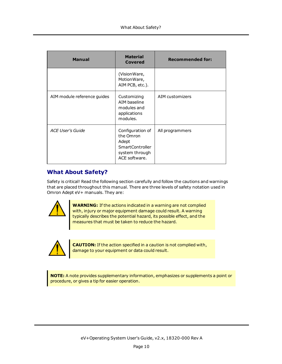| <b>Manual</b>               | <b>Material</b><br><b>Covered</b>                                                                   | <b>Recommended for:</b> |
|-----------------------------|-----------------------------------------------------------------------------------------------------|-------------------------|
|                             | (Vision Ware,<br>MotionWare,<br>AIM PCB, etc.).                                                     |                         |
| AIM module reference guides | Customizing<br>AIM baseline<br>modules and<br>applications<br>modules.                              | AIM customizers         |
| <b>ACE User's Guide</b>     | Configuration of<br>the Omron<br>Adept<br><b>SmartController</b><br>system through<br>ACE software. | All programmers         |

## <span id="page-9-0"></span>**What About Safety?**

Safety is critical! Read the following section carefully and follow the cautions and warnings that are placed throughout this manual. There are three levels of safety notation used in Omron Adept eV+ manuals. They are:



**WARNING:** If the actions indicated in a warning are not complied with, injury or major equipment damage could result. A warning typically describes the potential hazard, its possible effect, and the measures that must be taken to reduce the hazard.



**CAUTION:** If the action specified in a caution is not complied with, damage to your equipment or data could result.

**NOTE:** A note provides supplementary information, emphasizes or supplements a point or procedure, or gives a tip for easier operation.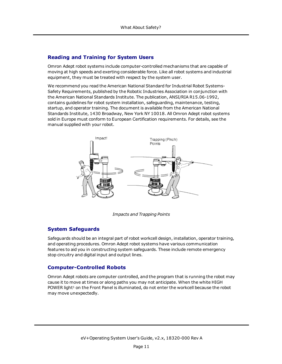## **Reading and Training for System Users**

Omron Adept robot systems include computer-controlled mechanisms that are capable of moving at high speeds and exerting considerable force. Like all robot systems and industrial equipment, they must be treated with respect by the system user.

We recommend you read the American National Standard for Industrial Robot Systems-Safety Requirements, published by the Robotic Industries Association in conjunction with the American National Standards Institute. The publication, ANSI/RIA R15.06-1992, contains guidelines for robot system installation, safeguarding, maintenance, testing, startup, and operator training. The document is available from the American National Standards Institute, 1430 Broadway, New York NY 10018. All Omron Adept robot systems sold in Europe must conform to European Certification requirements. For details, see the manual supplied with your robot.



*Impacts and Trapping Points*

## **System Safeguards**

Safeguards should be an integral part of robot workcell design, installation, operator training, and operating procedures. Omron Adept robot systems have various communication features to aid you in constructing system safeguards. These include remote emergency stop circuitry and digital input and output lines.

#### **Computer-Controlled Robots**

Omron Adept robots are computer controlled, and the program that is running the robot may cause it to move at times or along paths you may not anticipate. When the white HIGH POWER light<sup>[1](#page-12-1)</sup> on the Front Panel is illuminated, do not enter the workcell because the robot may move unexpectedly.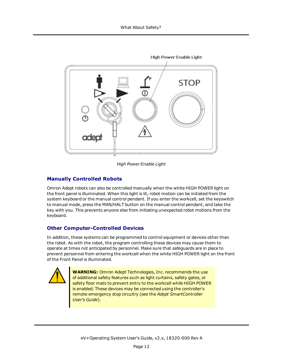

*High Power Enable Light*

## **Manually Controlled Robots**

Omron Adept robots can also be controlled manually when the white HIGH POWER light on the front panel is illuminated. When this light is lit, robot motion can be initiated from the system keyboard or the manual control pendant. If you enter the workcell, set the keyswitch to manual mode, press the MAN/HALT button on the manual control pendant, and take the key with you. This prevents anyone else from initiating unexpected robot motions from the keyboard.

## **Other Computer-Controlled Devices**

In addition, these systems can be programmed to control equipment or devices other than the robot. As with the robot, the program controlling these devices may cause them to operate at times not anticipated by personnel. Make sure that safeguards are in place to prevent personnel from entering the workcell when the white HIGH POWER light on the front of the Front Panel is illuminated.



**WARNING:** Omron Adept Technologies, Inc. recommends the use of additional safety features such as light curtains, safety gates, or safety floor mats to prevent entry to the workcell while HIGH POWER is enabled. These devices may be connected using the controller's remote emergency stop circuitry (see the *Adept SmartController User's Guide*).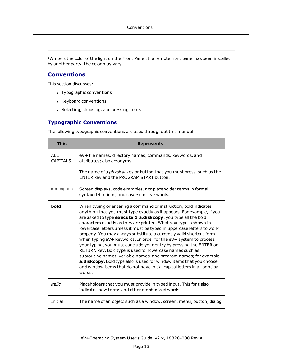<span id="page-12-1"></span><sup>[1](#page-29-1)</sup>White is the color of the light on the Front Panel. If a remote front panel has been installed by another party, the color may vary.

## <span id="page-12-0"></span>**Conventions**

This section discusses:

- Typographic conventions
- Keyboard conventions
- Selecting, choosing, and pressing items

## **Typographic Conventions**

The following typographic conventions are used throughout this manual:

| <b>This</b>                   | <b>Represents</b>                                                                                                                                                                                                                                                                                                                                                                                                                                                                                                                                                                                                                                                                                                                                                                                                                                                                   |
|-------------------------------|-------------------------------------------------------------------------------------------------------------------------------------------------------------------------------------------------------------------------------------------------------------------------------------------------------------------------------------------------------------------------------------------------------------------------------------------------------------------------------------------------------------------------------------------------------------------------------------------------------------------------------------------------------------------------------------------------------------------------------------------------------------------------------------------------------------------------------------------------------------------------------------|
| <b>ALL</b><br><b>CAPITALS</b> | eV+ file names, directory names, commands, keywords, and<br>attributes; also acronyms.                                                                                                                                                                                                                                                                                                                                                                                                                                                                                                                                                                                                                                                                                                                                                                                              |
|                               | The name of a <i>physical</i> key or button that you must press, such as the<br>ENTER key and the PROGRAM START button.                                                                                                                                                                                                                                                                                                                                                                                                                                                                                                                                                                                                                                                                                                                                                             |
| monospace                     | Screen displays, code examples, nonplaceholder terms in formal<br>syntax definitions, and case-sensitive words.                                                                                                                                                                                                                                                                                                                                                                                                                                                                                                                                                                                                                                                                                                                                                                     |
| bold                          | When typing or entering a command or instruction, bold indicates<br>anything that you must type exactly as it appears. For example, if you<br>are asked to type execute 1 a.diskcopy, you type all the bold<br>characters exactly as they are printed. What you type is shown in<br>lowercase letters unless it must be typed in uppercase letters to work<br>properly. You may always substitute a currently valid shortcut form<br>when typing $eV + keywords$ . In order for the $eV + system$ to process<br>your typing, you must conclude your entry by pressing the ENTER or<br>RETURN key. Bold type is used for lowercase names such as<br>subroutine names, variable names, and program names; for example,<br>a.diskcopy. Bold type also is used for window items that you choose<br>and window items that do not have initial capital letters in all principal<br>words. |
| italic                        | Placeholders that you must provide in typed input. This font also<br>indicates new terms and other emphasized words.                                                                                                                                                                                                                                                                                                                                                                                                                                                                                                                                                                                                                                                                                                                                                                |
| Initial                       | The name of an object such as a window, screen, menu, button, dialog                                                                                                                                                                                                                                                                                                                                                                                                                                                                                                                                                                                                                                                                                                                                                                                                                |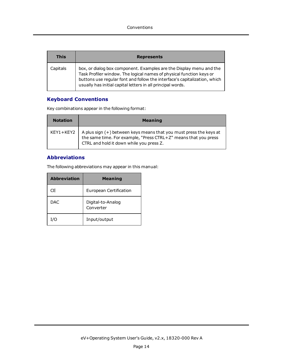| <b>This</b> | <b>Represents</b>                                                                                                                                                                                                                                                                       |
|-------------|-----------------------------------------------------------------------------------------------------------------------------------------------------------------------------------------------------------------------------------------------------------------------------------------|
| Capitals    | box, or dialog box component. Examples are the Display menu and the<br>Task Profiler window. The logical names of physical function keys or<br>buttons use regular font and follow the interface's capitalization, which<br>usually has initial capital letters in all principal words. |

## **Keyboard Conventions**

Key combinations appear in the following format:

| <b>Notation</b> | <b>Meaning</b>                                                                                                                                                                      |
|-----------------|-------------------------------------------------------------------------------------------------------------------------------------------------------------------------------------|
| KEY1+KEY2       | A plus sign $(+)$ between keys means that you must press the keys at<br>the same time. For example, "Press CTRL+Z" means that you press<br>CTRL and hold it down while you press Z. |

## **Abbreviations**

The following abbreviations may appear in this manual:

| <b>Abbreviation</b> | <b>Meaning</b>                 |
|---------------------|--------------------------------|
| СE                  | European Certification         |
| DAC.                | Digital-to-Analog<br>Converter |
| I/O                 | Input/output                   |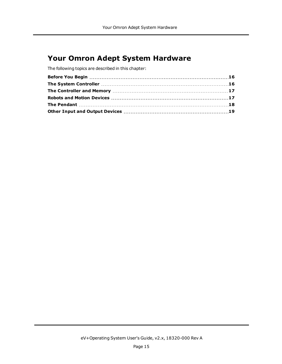## <span id="page-14-0"></span>**Your Omron Adept System Hardware**

The following topics are described in this chapter: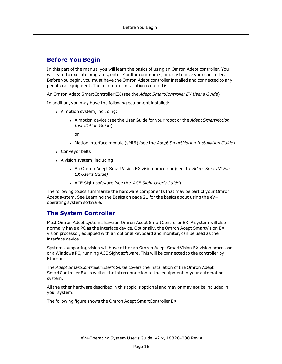## <span id="page-15-0"></span>**Before You Begin**

In this part of the manual you will learn the basics of using an Omron Adept controller. You will learn to execute programs, enter Monitor commands, and customize your controller. Before you begin, you must have the Omron Adept controller installed and connected to any peripheral equipment. The minimum installation required is:

An Omron Adept SmartController EX (see the *Adept SmartController EX User's Guide*)

In addition, you may have the following equipment installed:

- A motion system, including:
	- <sup>l</sup> A motion device (see the User Guide for your robot or the *Adept SmartMotion Installation Guide*)

or

- <sup>l</sup> Motion interface module (sMI6) (see the *Adept SmartMotion Installation Guide*)
- Conveyor belts
- A vision system, including:
	- <sup>l</sup> An Omron Adept SmartVision EX vision processor (see the *Adept SmartVision EX User's Guide)*
	- <sup>l</sup> ACE Sight software (see the *ACE Sight User's Guide*)

The following topics summarize the hardware components that may be part of your Omron Adept system. See [Learning](#page-20-0) the Basics on page 21 for the basics about using the eV+ operating system software.

## <span id="page-15-1"></span>**The System Controller**

Most Omron Adept systems have an Omron Adept SmartController EX. A system will also normally have a PC as the interface device. Optionally, the Omron Adept SmartVision EX vision processor, equipped with an optional keyboard and monitor, can be used as the interface device.

Systems supporting vision will have either an Omron Adept SmartVision EX vision processor or a Windows PC, running ACE Sight software. This will be connected to the controller by Ethernet.

The *Adept SmartController User's Guide* covers the installation of the Omron Adept SmartController EX as well as the interconnection to the equipment in your automation system.

All the other hardware described in this topic is optional and may or may not be included in your system.

The following figure shows the Omron Adept SmartController EX.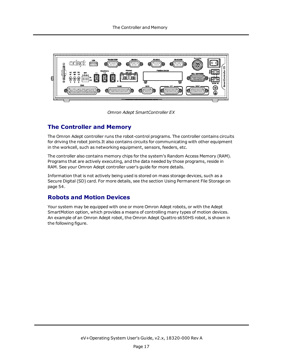

*Omron Adept SmartController EX*

## <span id="page-16-0"></span>**The Controller and Memory**

The Omron Adept controller runs the robot-control programs. The controller contains circuits for driving the robot joints.It also contains circuits for communicating with other equipment in the workcell, such as networking equipment, sensors, feeders, etc.

The controller also contains memory chips for the system's Random Access Memory (RAM). Programs that are actively executing, and the data needed by those programs, reside in RAM. See your Omron Adept controller user's guide for more details.

Information that is not actively being used is stored on mass storage devices, such as a Secure Digital (SD) card. For more details, see the section Using [Permanent](#page-53-0) File Storage on [page](#page-53-0) 54.

## <span id="page-16-1"></span>**Robots and Motion Devices**

Your system may be equipped with one or more Omron Adept robots, or with the Adept SmartMotion option, which provides a means of controlling many types of motion devices. An example of an Omron Adept robot, the Omron Adept Quattro s650HS robot, is shown in the following figure.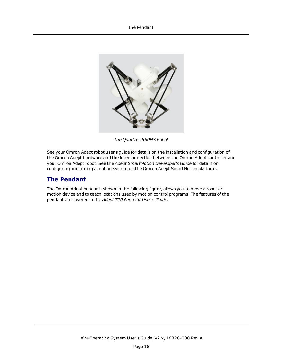

*The Quattro s650HS Robot*

See your Omron Adept robot user's guide for details on the installation and configuration of the Omron Adept hardware and the interconnection between the Omron Adept controller and your Omron Adept robot. See the *Adept SmartMotion Developer's Guide* for details on configuring and tuning a motion system on the Omron Adept SmartMotion platform.

## <span id="page-17-0"></span>**The Pendant**

The Omron Adept pendant, shown in the following figure, allows you to move a robot or motion device and to teach locations used by motion control programs. The features of the pendant are covered in the *Adept T20 Pendant User's Guide.*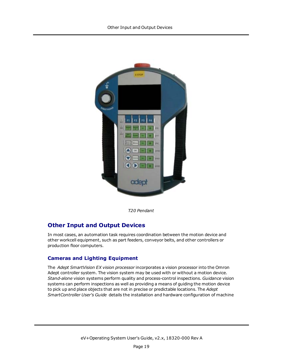

*T20 Pendant*

## <span id="page-18-0"></span>**Other Input and Output Devices**

In most cases, an automation task requires coordination between the motion device and other workcell equipment, such as part feeders, conveyor belts, and other controllers or production floor computers.

## **Cameras and Lighting Equipment**

The *Adept SmartVision EX vision processor* incorporates a vision processor into the Omron Adept controller system. The vision system may be used with or without a motion device. *Stand-alone* vision systems perform quality and process-control inspections. *Guidance* vision systems can perform inspections as well as providing a means of guiding the motion device to pick up and place objects that are not in precise or predictable locations. The *Adept SmartController User's Guide* details the installation and hardware configuration of machine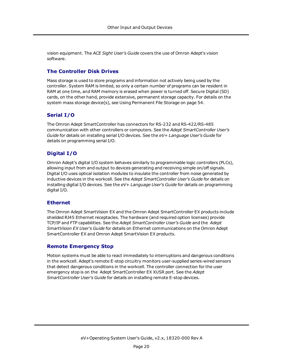vision equipment. The *ACE Sight User's Guide* covers the use of Omron Adept's vision software.

## **The Controller Disk Drives**

Mass storage is used to store programs and information not actively being used by the controller. System RAM is limited, so only a certain number of programs can be resident in RAM at one time, and RAM memory is erased when power is turned off. Secure Digital (SD) cards, on the other hand, provide extensive, permanent storage capacity. For details on the system mass storage device(s), see Using [Permanent](#page-53-0) File Storage on page 54.

### **Serial I/O**

The Omron Adept SmartController has connectors for RS-232 and RS-422/RS-485 communication with other controllers or computers. See the *Adept SmartController User's Guide* for details on installing serial I/O devices. See the *eV+ Language User's Guide* for details on programming serial I/O.

## **Digital I/O**

Omron Adept's digital I/O system behaves similarly to programmable logic controllers (PLCs), allowing input from and output to devices generating and receiving simple on/off signals. Digital I/O uses optical isolation modules to insulate the controller from noise generated by inductive devices in the workcell. See the *Adept SmartController User's Guide* for details on installing digital I/O devices. See the *eV+ Language User's Guide* for details on programming digital I/O.

#### **Ethernet**

The Omron Adept SmartVision EX and the Omron Adept SmartController EX products include shielded RJ45 Ethernet receptacles. The hardware (and required option licenses) provide TCP/IP and FTP capabilities. See the *Adept SmartController User's Guide* and the *Adept SmartVision EX User's Guide* for details on Ethernet communications on the Omron Adept SmartController EX and Omron Adept SmartVision EX products.

#### **Remote Emergency Stop**

Motion systems must be able to react immediately to interruptions and dangerous conditions in the workcell. Adept's remote E-stop circuitry monitors user-supplied series-wired sensors that detect dangerous conditions in the workcell. The controller connection for the user emergency stop is on the Adept SmartController EX XUSR port. See the *Adept SmartController User's Guide* for details on installing remote E-stop devices.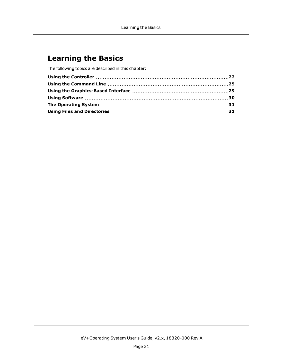## <span id="page-20-0"></span>**Learning the Basics**

The following topics are described in this chapter: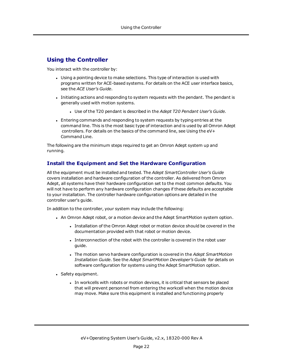## <span id="page-21-0"></span>**Using the Controller**

You interact with the controller by:

- Using a pointing device to make selections. This type of interaction is used with programs written for ACE-based systems. For details on the ACE user interface basics, see the *ACE User's Guide*.
- Initiating actions and responding to system requests with the pendant. The pendant is generally used with motion systems.
	- <sup>l</sup> Use of the T20 pendant is described in the *Adept T20 Pendant User's Guide.*
- <sup>l</sup> Entering commands and responding to system requests by typing entries at the command line. This is the most basic type of interaction and is used by all Omron Adept controllers. For details on the basics of the command line, see [Using](#page-24-0) the eV+ [Command](#page-24-0) Line.

The following are the minimum steps required to get an Omron Adept system up and running.

## **Install the Equipment and Set the Hardware Configuration**

All the equipment must be installed and tested. The *Adept SmartController User's Guide* covers installation and hardware configuration of the controller. As delivered from Omron Adept, all systems have their hardware configuration set to the most common defaults. You will not have to perform any hardware configuration changes if these defaults are acceptable to your installation. The controller hardware configuration options are detailed in the controller user's guide.

In addition to the controller, your system may include the following:

- An Omron Adept robot, or a motion device and the Adept SmartMotion system option.
	- Installation of the Omron Adept robot or motion device should be covered in the documentation provided with that robot or motion device.
	- Interconnection of the robot with the controller is covered in the robot user guide.
	- <sup>l</sup> The motion servo hardware configuration is covered in the *Adept SmartMotion Installation Guide*. See the *Adept SmartMotion Developer's Guide* for details on software configuration for systems using the Adept SmartMotion option.
- Safety equipment.
	- In workcells with robots or motion devices, it is critical that sensors be placed that will prevent personnel from entering the workcell when the motion device may move. Make sure this equipment is installed and functioning properly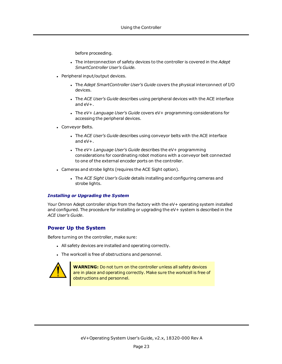before proceeding.

- <sup>l</sup> The interconnection of safety devices to the controller is covered in the *Adept SmartController User's Guide.*
- Peripheral input/output devices.
	- <sup>l</sup> The *Adept SmartController User's Guide* covers the physical interconnect of I/O devices.
	- <sup>l</sup> The *ACE User's Guide* describes using peripheral devices with the ACE interface and eV+.
	- <sup>l</sup> The *eV+ Language User's Guide* covers eV+ programming considerations for accessing the peripheral devices.
- Conveyor Belts.
	- <sup>l</sup> The *ACE User's Guide* describes using conveyor belts with the ACE interface and eV+.
	- <sup>l</sup> The *eV+ Language User's Guide* describes the eV+ programming considerations for coordinating robot motions with a conveyor belt connected to one of the external encoder ports on the controller.
- Cameras and strobe lights (requires the ACE Sight option).
	- <sup>l</sup> The *ACE Sight User's Guide* details installing and configuring cameras and strobe lights.

#### *Installing or Upgrading the System*

Your Omron Adept controller ships from the factory with the eV+ operating system installed and configured. The procedure for installing or upgrading the eV+ system is described in the *ACE User's Guide*.

#### **Power Up the System**

Before turning on the controller, make sure:

- All safety devices are installed and operating correctly.
- The workcell is free of obstructions and personnel.



**WARNING:** Do not turn on the controller unless all safety devices are in place and operating correctly. Make sure the workcell is free of obstructions and personnel.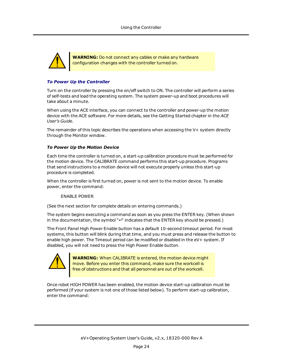

**WARNING:** Do not connect any cables or make any hardware configuration changes with the controller turned on.

#### *To Power Up the Controller*

Turn on the controller by pressing the on/off switch to ON. The controller will perform a series of self-tests and load the operating system. The system power-up and boot procedures will take about a minute.

When using the ACE interface, you can connect to the controller and power-up the motion device with the ACE software. For more details, see the Getting Started chapter in the *ACE User's Guide*.

<span id="page-23-0"></span>The remainder of this topic describes the operations when accessing the V+ system directly through the Monitor window.

#### *To Power Up the Motion [Device](#page-21-0)*

Each time the controller is turned on, a start-up calibration procedure must be performed for the motion device. The CALIBRATE command performs this start-up procedure. Programs that send instructions to a motion device will not execute properly unless this start-up procedure is completed.

When the controller is first turned on, power is not sent to the motion device. To enable power, enter the command:

#### ENABLE POWER

(See the next section for complete details on entering commands.)

The system begins executing a command as soon as you press the ENTER key. (When shown in the documentation, the symbol "↵" indicates that the ENTER key should be pressed.)

The Front Panel High Power Enable button has a default 10-second timeout period. For most systems, this button will blink during that time, and you must press and release the button to enable high power. The Timeout period can be modified or disabled in the eV+ system. If disabled, you will not need to press the High Power Enable button.



**WARNING:** When CALIBRATE is entered, the motion device might move. Before you enter this command, make sure the workcell is free of obstructions and that all personnel are out of the workcell.

Once robot HIGH POWER has been enabled, the motion device start-up calibration must be performed (if your system is not one of those listed below). To perform start-up calibration, enter the command: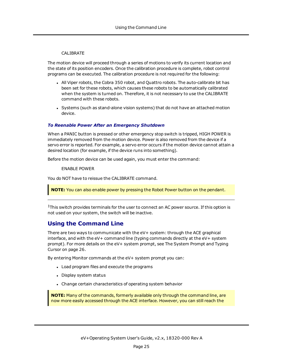#### CALIBRATE

The motion device will proceed through a series of motions to verify its current location and the state of its position encoders. Once the calibration procedure is complete, robot control programs can be executed. The calibration procedure is not required for the following:

- All Viper robots, the Cobra 350 robot, and Quattro robots. The auto-calibrate bit has been set for these robots, which causes these robots to be automatically calibrated when the system is turned on. Therefore, it is not necessary to use the CALIBRATE command with these robots.
- Systems (such as stand-alone vision systems) that do not have an attached motion device.

#### *To Reenable Power After an Emergency Shutdown*

When a PANIC button is pressed or other emergency stop switch is tripped, HIGH POWER is immediately removed from the motion device. Power is also removed from the device if a servo error is reported. For example, a servo error occurs if the motion device cannot attain a desired location (for example, if the device runs into something).

Before the motion device can be used again, you must enter the command:

ENABLE POWER

You do NOT have to reissue the CALIBRATE command.

**NOTE:** You can also enable power by pressing the Robot Power button on the pendant.

<span id="page-24-0"></span> ${}^{1}$ This switch provides terminals for the user to connect an AC power source. If this option is not used on your system, the switch will be inactive.

## **Using the Command Line**

There are two ways to communicate with the eV+ system: through the ACE graphical interface, and with the eV+ command line (typing commands directly at the eV+ system prompt). For more details on the eV+ system prompt, see The [System](#page-25-0) Prompt and Typing [Cursor](#page-25-0) on page 26.

By entering Monitor commands at the eV+ system prompt you can:

- Load program files and execute the programs
- Display system status
- Change certain characteristics of operating system behavior

**NOTE:** Many of the commands, formerly available only through the command line, are now more easily accessed through the ACE interface. However, you can still reach the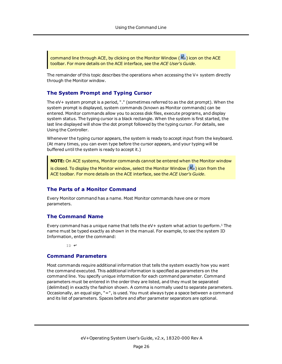command line through ACE, by clicking on the Monitor Window ( $\rightarrow$ ) icon on the ACE toolbar. For more details on the ACE interface, see the *ACE User's Guide*.

<span id="page-25-0"></span>The remainder of this topic describes the operations when accessing the V+ system directly through the Monitor window.

### **The System Prompt and Typing Cursor**

The eV+ system prompt is a period, "." (sometimes referred to as the dot prompt). When the system prompt is displayed, system commands (known as Monitor commands) can be entered. Monitor commands allow you to access disk files, execute programs, and display system status. The typing cursor is a black rectangle. When the system is first started, the last line displayed will show the dot prompt followed by the typing cursor. For details, see Using the [Controller.](#page-21-0)

Whenever the typing cursor appears, the system is ready to accept input from the keyboard. (At many times, you can even type before the cursor appears, and your typing will be buffered until the system is ready to accept it.)

**NOTE:** On ACE systems, Monitor commands cannot be entered when the Monitor window

is closed. To display the Monitor window, select the Monitor Window ( $\gg$ ) icon from the ACE toolbar. For more details on the ACE interface, see the *ACE User's Guide*.

### **The Parts of a Monitor Command**

Every Monitor command has a name. Most Monitor commands have one or more parameters.

### <span id="page-25-1"></span>**The Command Name**

Every command has a unique name that tells the  $eV+$  system what action to perform.<sup>[1](#page-28-1)</sup> The name must be typed exactly as shown in the manual. For example, to see the system ID Information, enter the command:

ID ↵

#### **Command Parameters**

Most commands require additional information that tells the system exactly how you want the command executed. This additional information is specified as parameters on the command line. You specify unique information for each command parameter. Command parameters must be entered in the order they are listed, and they must be separated (delimited) in exactly the fashion shown. A comma is normally used to separate parameters. Occasionally, an equal sign, "=", is used. You must always type a space between a command and its list of parameters. Spaces before and after parameter separators are optional.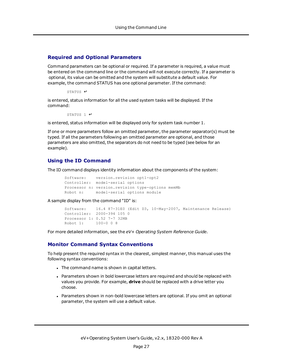#### **Required and Optional Parameters**

Command parameters can be optional or required. If a parameter is required, a value must be entered on the command line or the command will not execute correctly. If a parameter is optional, its value can be omitted and the system will substitute a default value. For example, the command STATUS has one optional parameter. If the command:

```
STATUS ↵
```
is entered, status information for all the used system tasks will be displayed. If the command:

STATUS 1 ↵

is entered, status information will be displayed only for system task number 1.

If one or more parameters follow an omitted parameter, the parameter separator(s) must be typed. If all the parameters following an omitted parameter are optional, and those parameters are also omitted, the separators do not need to be typed (see below for an example).

## **Using the ID Command**

The ID command displays identity information about the components of the system:

```
Software: version.revision opt1-opt2
Controller: model-serial options
Processor n: version.revision type-options memMb
Robot n: model-serial options module
```
A sample display from the command "ID" is:

```
Software: 16.4 87-31E0 (Edit D3, 10-May-2007, Maintenance Release)
Controller: 2000-394 105 0
Processor 1: 0.52 7-7 32MB
Robot 1: 100-0 0 8
```
For more detailed information, see the *eV+ Operating System Reference Guide*.

## **Monitor Command Syntax Conventions**

To help present the required syntax in the clearest, simplest manner, this manual uses the following syntax conventions:

- The command name is shown in capital letters.
- Parameters shown in bold lowercase letters are required and should be replaced with values you provide. For example, **drive** should be replaced with a drive letter you choose.
- Parameters shown in non-bold lowercase letters are optional. If you omit an optional parameter, the system will use a default value.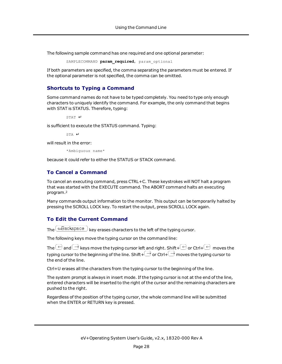The following sample command has one required and one optional parameter:

SAMPLECOMMAND **param required**, param optional

If both parameters are specified, the comma separating the parameters must be entered. If the optional parameter is not specified, the comma can be omitted.

## **Shortcuts to Typing a Command**

Some command names do not have to be typed completely. You need to type only enough characters to uniquely identify the command. For example, the only command that begins with STAT is STATUS. Therefore, typing:

STAT ↵

is sufficient to execute the STATUS command. Typing:

STA ↵

will result in the error:

\*Ambiguous name\*

because it could refer to either the STATUS or STACK command.

## **To Cancel a Command**

To cancel an executing command, press CTRL+C. These keystrokes will NOT halt a program that was started with the EXECUTE command. The ABORT command halts an executing program.[2](#page-28-2)

Many commands output information to the monitor. This output can be temporarily halted by pressing the SCROLL LOCK key. To restart the output, press SCROLL LOCK again.

## **To Edit the Current Command**

The  $\triangle$ Backspace  $\big)$  key erases characters to the left of the typing cursor.

The following keys move the typing cursor on the command line:

The  $\ominus$  and  $\ominus$  keys move the typing cursor left and right. Shift+  $\ominus$  or Ctrl+  $\ominus$  moves the typing cursor to the beginning of the line. Shift+ $\Box$  or Ctrl+ $\Box$  moves the typing cursor to the end of the line.

Ctrl+U erases all the characters from the typing cursor to the beginning of the line.

The system prompt is always in insert mode. If the typing cursor is not at the end of the line, entered characters will be inserted to the right of the cursor and the remaining characters are pushed to the right.

Regardless of the position of the typing cursor, the whole command line will be submitted when the ENTER or RETURN key is pressed.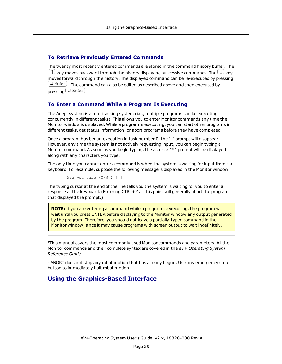## **To Retrieve Previously Entered Commands**

The twenty most recently entered commands are stored in the command history buffer. The  $\Diamond$  key moves backward through the history displaying successive commands. The  $\Box$  key moves forward through the history. The displayed command can be re-executed by pressing  $\left(\rightleftharpoons$   $_{\text{Enter}}\right)$  . The command can also be edited as described above and then executed by  $presing$   $\Box$  Enter

### **To Enter a Command While a Program Is Executing**

The Adept system is a multitasking system (i.e., multiple programs can be executing concurrently in different tasks). This allows you to enter Monitor commands any time the Monitor window is displayed. While a program is executing, you can start other programs in different tasks, get status information, or abort programs before they have completed.

Once a program has begun execution in task number 0, the "." prompt will disappear. However, any time the system is not actively requesting input, you can begin typing a Monitor command. As soon as you begin typing, the asterisk "\*" prompt will be displayed along with any characters you type.

The only time you cannot enter a command is when the system is waiting for input from the keyboard. For example, suppose the following message is displayed in the Monitor window:

Are you sure (Y/N)? [ ]

The typing cursor at the end of the line tells you the system is waiting for you to enter a response at the keyboard. (Entering CTRL+Z at this point will generally abort the program that displayed the prompt.)

**NOTE:** If you are entering a command while a program is executing, the program will wait until you press ENTER before displaying to the Monitor window any output generated by the program. Therefore, you should not leave a partially-typed command in the Monitor window, since it may cause programs with screen output to wait indefinitely.

<span id="page-28-1"></span>[1](#page-25-1)This manual covers the most commonly used Monitor commands and parameters. All the Monitor commands and their complete syntax are covered in the *eV+ Operating System Reference Guide*.

<span id="page-28-2"></span><span id="page-28-0"></span><sup>2</sup> ABORT does not stop any robot motion that has already begun. Use any emergency stop button to immediately halt robot motion.

## **Using the Graphics-Based Interface**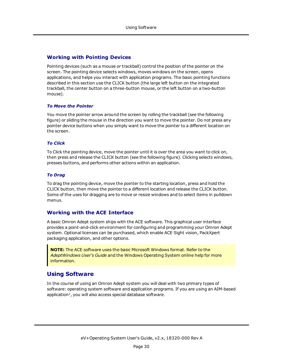## **Working with Pointing Devices**

Pointing devices (such as a mouse or trackball) control the position of the pointer on the screen. The pointing device selects windows, moves windows on the screen, opens applications, and helps you interact with application programs. The basic pointing functions described in this section use the CLICK button (the large left button on the integrated trackball, the center button on a three-button mouse, or the left button on a two-button mouse).

#### *To Move the Pointer*

You move the pointer arrow around the screen by rolling the trackball (see the following figure) or sliding the mouse in the direction you want to move the pointer. Do not press any pointer device buttons when you simply want to move the pointer to a different location on the screen.

#### *To Click*

To Click the pointing device, move the pointer until it is over the area you want to click on, then press and release the CLICK button (see the following figure). Clicking selects windows, presses buttons, and performs other actions within an application.

#### *To Drag*

To drag the pointing device, move the pointer to the starting location, press and hold the CLICK button, then move the pointer to a different location and release the CLICK button. Some of the uses for dragging are to move or resize windows and to select items in pulldown menus.

## **Working with the ACE Interface**

A basic Omron Adept system ships with the ACE software. This graphical user interface provides a point-and-click environment for configuring and programming your Omron Adept system. Optional licenses can be purchased, which enable ACE Sight vision, PackXpert packaging application, and other options.

**NOTE:** The ACE software uses the basic Microsoft Windows format. Refer to the *AdeptWindows User's Guide* and the Windows Operating System online help for more information.

## <span id="page-29-1"></span><span id="page-29-0"></span>**Using Software**

In the course of using an Omron Adept system you will deal with two primary types of software: operating system software and application programs. If you are using an AIM-based application<sup>[1](#page-30-2)</sup>, you will also access special database software.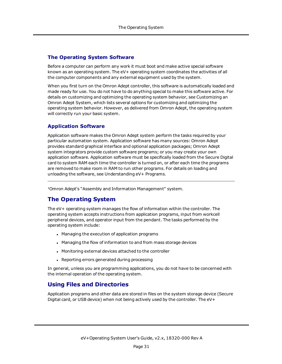## **The Operating System Software**

Before a computer can perform any work it must boot and make active special software known as an operating system. The eV+ operating system coordinates the activities of all the computer components and any external equipment used by the system.

When you first turn on the Omron Adept controller, this software is automatically loaded and made ready for use. You do not have to do anything special to make this software active. For details on customizing and optimizing the operating system behavior, see [Customizing](#page-55-0) an Omron Adept [System](#page-55-0), which lists several options for customizing and optimizing the operating system behavior. However, as delivered from Omron Adept, the operating system will correctly run your basic system.

## **Application Software**

Application software makes the Omron Adept system perform the tasks required by your particular automation system. Application software has many sources: Omron Adept provides standard graphical interface and optional application packages; Omron Adept system integrators provide custom software programs; or you may create your own application software. Application software must be specifically loaded from the Secure Digital card to system RAM each time the controller is turned on, or after each time the programs are removed to make room in RAM to run other programs. For details on loading and unloading the software, see [Understanding](#page-46-0) eV+ Programs.

<span id="page-30-2"></span><span id="page-30-0"></span>[1](#page-29-1)Omron Adept's "Assembly and Information Management" system.

## **The Operating System**

The eV+ operating system manages the flow of information within the controller. The operating system accepts instructions from application programs, input from workcell peripheral devices, and operator input from the pendant. The tasks performed by the operating system include:

- Managing the execution of application programs
- Managing the flow of information to and from mass storage devices
- Monitoring external devices attached to the controller
- Reporting errors generated during processing

In general, unless you are programming applications, you do not have to be concerned with the internal operation of the operating system.

## <span id="page-30-1"></span>**Using Files and Directories**

Application programs and other data are stored in files on the system storage device (Secure Digital card, or USB device) when not being actively used by the controller. The eV+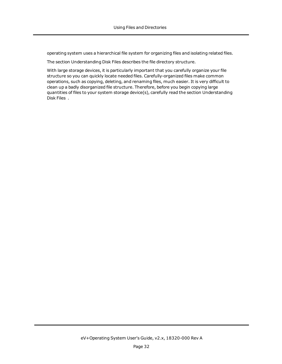operating system uses a hierarchical file system for organizing files and isolating related files.

The section [Understanding](#page-33-0) Disk Files describes the file directory structure.

With large storage devices, it is particularly important that you carefully organize your file structure so you can quickly locate needed files. Carefully-organized files make common operations, such as copying, deleting, and renaming files, much easier. It is very difficult to clean up a badly disorganized file structure. Therefore, before you begin copying large quantities of files to your system storage device(s), carefully read the section [Understanding](#page-33-0) Disk [Files](#page-33-0) .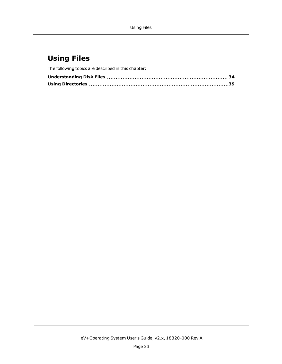## <span id="page-32-0"></span>**Using Files**

The following topics are described in this chapter: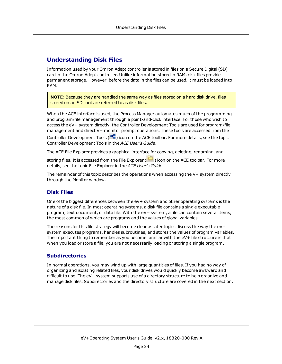## <span id="page-33-0"></span>**Understanding Disk Files**

Information used by your Omron Adept controller is stored in files on a Secure Digital (SD) card in the Omron Adept controller. Unlike information stored in RAM, disk files provide permanent storage. However, before the data in the files can be used, it must be loaded into RAM.

**NOTE**: Because they are handled the same way as files stored on a hard disk drive, files stored on an SD card are referred to as disk files.

When the ACE interface is used, the Process Manager automates much of the programming and program/file management through a point-and-click interface. For those who wish to access the eV+ system directly, the Controller Development Tools are used for program/file management and direct V+ monitor prompt operations. These tools are accessed from the

Controller Development Tools ( $\frac{m}{n}$ ) icon on the ACE toolbar. For more details, see the topic Controller Development Tools in the *ACE User's Guide*.

The ACE File Explorer provides a graphical interface for copying, deleting, renaming, and

storing files. It is accessed from the File Explorer ( $\Box$ ) icon on the ACE toolbar. For more details, see the topic File Explorer in the *ACE User's Guide*.

The remainder of this topic describes the operations when accessing the V+ system directly through the Monitor window.

#### **Disk Files**

One of the biggest differences between the eV+ system and other operating systems is the nature of a disk file. In most operating systems, a disk file contains a single executable program, text document, or data file. With the eV+ system, a file can contain several items, the most common of which are programs and the values of global variables.

The reasons for this file strategy will become clear as later topics discuss the way the  $eV+$ system executes programs, handles subroutines, and stores the values of program variables. The important thing to remember as you become familiar with the eV+ file structure is that when you load or store a file, you are not necessarily loading or storing a single program.

#### **Subdirectories**

In normal operations, you may wind up with large quantities of files. If you had no way of organizing and isolating related files, your disk drives would quickly become awkward and difficult to use. The eV+ system supports use of a directory structure to help organize and manage disk files. Subdirectories and the directory structure are covered in the next section.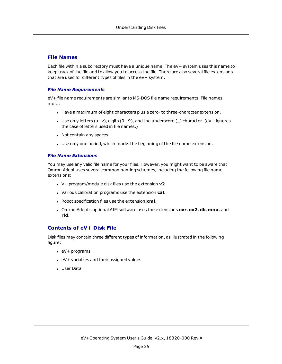### **File Names**

Each file within a subdirectory must have a unique name. The eV+ system uses this name to keep track of the file and to allow you to access the file. There are also several file extensions that are used for different types of files in the eV+ system.

#### *File Name Requirements*

eV+ file name requirements are similar to MS-DOS file name requirements. File names must:

- Have a maximum of eight characters plus a zero- to three-character extension.
- Use only letters (a z), digits (0 9), and the underscore  $(\_)$  character. (eV+ ignores the case of letters used in file names.)
- Not contain any spaces.
- Use only one period, which marks the beginning of the file name extension.

#### *File Name Extensions*

You may use any valid file name for your files. However, you might want to be aware that Omron Adept uses several common naming schemes, including the following file name extensions:

- <sup>l</sup> V+ program/module disk files use the extension **v2**.
- <sup>l</sup> Various calibration programs use the extension **cal**.
- **Robot specification files use the extension xml.**
- <sup>l</sup> Omron Adept's optional AIM software uses the extensions **ovr**, **ov2**, **db**, **mnu**, and **rfd**.

## **Contents of eV+ Disk File**

Disk files may contain three different types of information, as illustrated in the following figure:

- $\cdot$  eV+ programs
- $\cdot$  eV+ variables and their assigned values
- User Data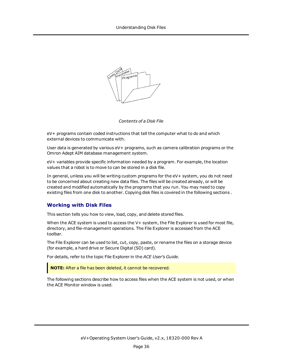

*Contents of a Disk File*

eV+ programs contain coded instructions that tell the computer what to do and which external devices to communicate with.

User data is generated by various  $eV+$  programs, such as camera calibration programs or the Omron Adept AIM database management system.

eV+ variables provide specific information needed by a program. For example, the location values that a robot is to move to can be stored in a disk file.

In general, unless you will be writing custom programs for the eV+ system, you do not need to be concerned about creating new data files. The files will be created already, or will be created and modified automatically by the programs that you run. You may need to copy existing files from one disk to another. Copying disk files is covered in the following sections .

#### **Working with Disk Files**

This section tells you how to view, load, copy, and delete stored files.

When the ACE system is used to access the  $V+$  system, the File Explorer is used for most file, directory, and file-management operations. The File Explorer is accessed from the ACE toolbar.

The File Explorer can be used to list, cut, copy, paste, or rename the files on a storage device (for example, a hard drive or Secure Digital (SD) card).

For details, refer to the topic File Explorer in the *ACE User's Guide.*

**NOTE:** After a file has been deleted, it cannot be recovered.

The following sections describe how to access files when the ACE system is not used, or when the ACE Monitor window is used.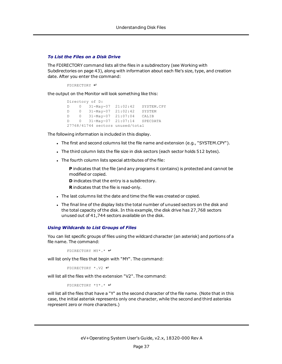#### *To List the Files on a Disk Drive*

The FDIRECTORY command lists all the files in a subdirectory (see [Working](#page-42-0) with [Subdirectories](#page-42-0) on page 43), along with information about each file's size, type, and creation date. After you enter the command:

```
FDIRECTORY ↵
```
the output on the Monitor will look something like this:

```
Directory of D:
D 0 31-May-07 21:02:42 SYSTEM.CPY
D 0 31-May-07 21:02:42 SYSTEM
D 0 31-May-07 21:07:04 CALIB
D 0 31-May-07 21:07:14 SPECDATA
27768/41744 sectors unused/total
```
The following information is included in this display.

- The first and second columns list the file name and extension (e.g., "SYSTEM.CPY").
- . The third column lists the file size in disk sectors (each sector holds 512 bytes).
- . The fourth column lists special attributes of the file:

**P** indicates that the file (and any programs it contains) is protected and cannot be modified or copied.

**D** indicates that the entry is a subdirectory.

**R** indicates that the file is read-only.

- The last columns list the date and time the file was created or copied.
- . The final line of the display lists the total number of unused sectors on the disk and the total capacity of the disk. In this example, the disk drive has 27,768 sectors unused out of 41,744 sectors available on the disk.

#### *Using Wildcards to List Groups of Files*

You can list specific groups of files using the wildcard character (an asterisk) and portions of a file name. The command:

FDIRECTORY MY\*.\* ↵

will list only the files that begin with "MY". The command:

FDIRECTORY \*.V2 ↵

will list all the files with the extension "V2". The command:

FDIRECTORY \*Y\*.\* ↵

will list all the files that have a "Y" as the second character of the file name. (Note that in this case, the initial asterisk represents only one character, while the second and third asterisks represent zero or more characters.)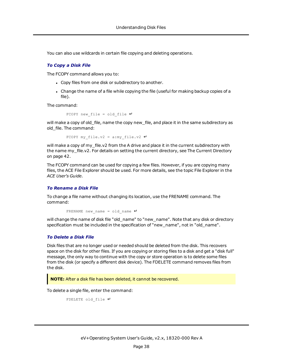You can also use wildcards in certain file copying and deleting operations.

#### *To Copy a Disk File*

The FCOPY command allows you to:

- Copy files from one disk or subdirectory to another.
- Change the name of a file while copying the file (useful for making backup copies of a file).

The command:

```
FCOPY new file = old file \downarrow
```
will make a copy of old file, name the copy new file, and place it in the same subdirectory as old\_file. The command:

FCOPY my file.v2 = a:my file.v2  $\downarrow$ 

will make a copy of my file.v2 from the A drive and place it in the current subdirectory with the name my\_file.v2. For details on setting the current directory, see The Current [Directory](#page-41-0) on [page](#page-41-0) 42.

The FCOPY command can be used for copying a few files. However, if you are copying many files, the ACE File Explorer should be used. For more details, see the topic File Explorer in the *ACE User's Guide*.

#### *To Rename a Disk File*

To change a file name without changing its location, use the FRENAME command. The command:

FRENAME new name = old name  $\downarrow$ 

will change the name of disk file "old name" to "new name". Note that any disk or directory specification must be included in the specification of "new\_name", not in "old\_name".

#### *To Delete a Disk File*

Disk files that are no longer used or needed should be deleted from the disk. This recovers space on the disk for other files. If you are copying or storing files to a disk and get a "disk full" message, the only way to continue with the copy or store operation is to delete some files from the disk (or specify a different disk device). The FDELETE command removes files from the disk.

**NOTE:** After a disk file has been deleted, it cannot be recovered.

To delete a single file, enter the command:

```
FDELETE old_file ↵
```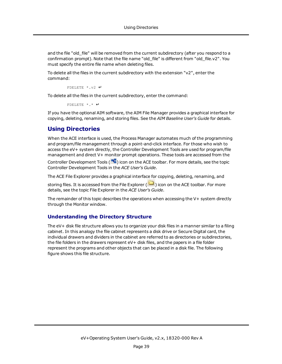and the file "old file" will be removed from the current subdirectory (after you respond to a confirmation prompt). Note that the file name "old file" is different from "old file.v2". You must specify the entire file name when deleting files.

To delete all the files in the current subdirectory with the extension "v2", enter the command:

FDELETE \*.v2 ↵

To delete all the files in the current subdirectory, enter the command:

FDELETE \*.\* ↵

<span id="page-38-0"></span>If you have the optional AIM software, the AIM File Manager provides a graphical interface for copying, deleting, renaming, and storing files. See the *AIM Baseline User's Guide* for details.

## **Using Directories**

When the ACE interface is used, the Process Manager automates much of the programming and program/file management through a point-and-click interface. For those who wish to access the eV+ system directly, the Controller Development Tools are used for program/file management and direct V+ monitor prompt operations. These tools are accessed from the

Controller Development Tools ( $\frac{m}{n}$ ) icon on the ACE toolbar. For more details, see the topic Controller Development Tools in the *ACE User's Guide*.

The ACE File Explorer provides a graphical interface for copying, deleting, renaming, and

storing files. It is accessed from the File Explorer ( $\Box$ ) icon on the ACE toolbar. For more details, see the topic File Explorer in the *ACE User's Guide*.

The remainder of this topic describes the operations when accessing the V+ system directly through the Monitor window.

#### **Understanding the Directory Structure**

The eV+ disk file structure allows you to organize your disk files in a manner similar to a filing cabinet. In this analogy the file cabinet represents a disk drive or Secure Digital card, the individual drawers and dividers in the cabinet are referred to as directories or subdirectories, the file folders in the drawers represent eV+ disk files, and the papers in a file folder represent the programs and other objects that can be placed in a disk file. The following figure shows this file structure.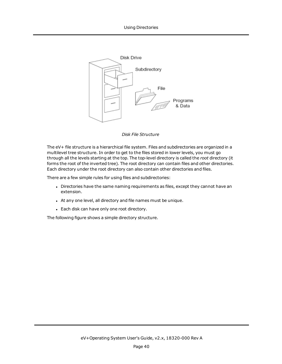

#### *Disk File Structure*

The eV+ file structure is a hierarchical file system. Files and subdirectories are organized in a multilevel tree structure. In order to get to the files stored in lower levels, you must go through all the levels starting at the top. The top-level directory is called the *root* directory (it forms the root of the inverted tree). The root directory can contain files and other directories. Each directory under the root directory can also contain other directories and files.

There are a few simple rules for using files and subdirectories:

- <sup>l</sup> Directories have the same naming requirements as files, except they cannot have an extension.
- At any one level, all directory and file names must be unique.
- Each disk can have only one root directory.

The following figure shows a simple directory structure.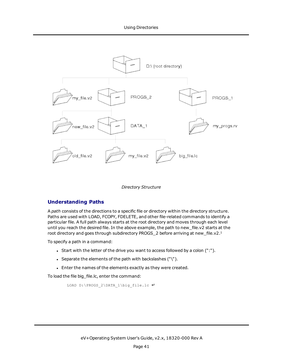<span id="page-40-0"></span>

*Directory Structure*

## **Understanding Paths**

A *path* consists of the directions to a specific file or directory within the directory structure. Paths are used with LOAD, FCOPY, FDELETE, and other file-related commands to identify a particular file. A full path always starts at the root directory and moves through each level until you reach the desired file. In the above example, the path to new\_file.v2 starts at the root directory and goes through subdirectory PROGS\_2 before arriving at new\_file.v2.[1](#page-44-0)

To specify a path in a command:

- Start with the letter of the drive you want to access followed by a colon (":").
- Separate the elements of the path with backslashes (" $\langle$ ").
- Enter the names of the elements exactly as they were created.

To load the file big file.lc, enter the command:

```
LOAD D:\PROGS_2\DATA_1\big_file.lc ↵
```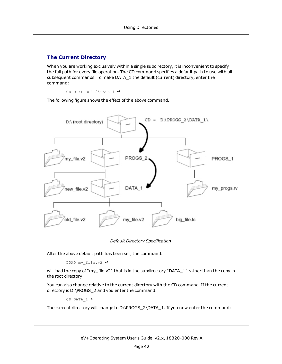## <span id="page-41-0"></span>**The Current Directory**

When you are working exclusively within a single subdirectory, it is inconvenient to specify the full path for every file operation. The CD command specifies a default path to use with all subsequent commands. To make DATA\_1 the default (current) directory, enter the command:

CD D:\PROGS\_2\DATA\_1 ↵

<span id="page-41-1"></span>The following figure shows the effect of the above command.



*Default Directory Specification*

After the above default path has been set, the command:

LOAD my\_file.v2 ↵

will load the copy of "my\_file.v2" that is in the subdirectory "DATA\_1" rather than the copy in the root directory.

You can also change relative to the current directory with the CD command. If the current directory is D:\PROGS\_2 and you enter the command:

CD DATA  $1$  ↵

The current directory will change to D:\PROGS\_2\DATA\_1. If you now enter the command: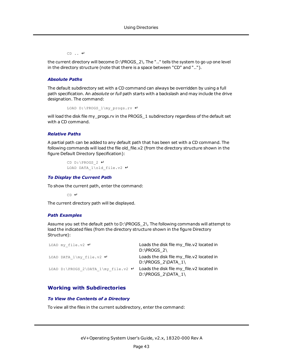CD .. ↵

the current directory will become D:\PROGS\_2\. The ".." tells the system to go up one level in the directory structure (note that there is a space between "CD" and "..").

#### *Absolute Paths*

The default subdirectory set with a CD command can always be overridden by using a full path specification. An *absolute* or *full* path starts with a backslash and may include the drive designation. The command:

```
LOAD D:\PROGS_1\my_progs.rv ↵
```
will load the disk file my\_progs.rv in the PROGS\_1 subdirectory regardless of the default set with a CD command.

#### *Relative Paths*

A partial path can be added to any default path that has been set with a CD command. The following commands will load the file old\_file.v2 (from the directory structure shown in the figure Default Directory [Specification](#page-41-1)):

```
CD D:\PROGS_2 ↵
LOAD DATA_1\old_file.v2 ↵
```
#### *To Display the Current Path*

To show the current path, enter the command:

CD ↵

The current directory path will be displayed.

#### *Path Examples*

Assume you set the default path to D:\PROGS\_2\. The following commands will attempt to load the indicated files (from the directory structure shown in the figure [Directory](#page-40-0) [Structure](#page-40-0)):

| LOAD my file.v2 $\downarrow$                     | Loads the disk file my file.v2 located in<br>$D:\PROGS$ 2)      |
|--------------------------------------------------|-----------------------------------------------------------------|
| LOAD DATA $1\$ {my file.v2 }\n                   | Loads the disk file my file.v2 located in<br>D:\PROGS 2\DATA 1\ |
| LOAD D: \PROGS 2\DATA 1\my file.v2 $\rightarrow$ | Loads the disk file my file.v2 located in<br>D:\PROGS 2\DATA 1\ |

### <span id="page-42-0"></span>**Working with Subdirectories**

#### *To View the Contents of a Directory*

To view all the files in the current subdirectory, enter the command: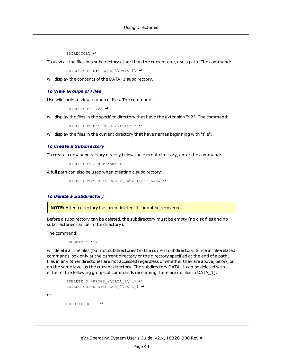FDIRECTORY ↵

To view all the files in a subdirectory other than the current one, use a path. The command:

```
FDIRECTORY D:\PROGS_2\DATA_1\ ↵
```
will display the contents of the DATA 1 subdirectory.

#### *To View Groups of Files*

Use wildcards to view a group of files. The command:

```
FDIRECTORY *.v2 ↵
```
will display the files in the specified directory that have the extension "v2". The command:

```
FDIRECTORY D:\PROGS_2\file*.* ↵
```
will display the files in the current directory that have names beginning with "file".

#### *To Create a Subdirectory*

To create a new subdirectory directly below the current directory, enter the command:

```
FDIRECTORY/C dir_name ↵
```
A full path can also be used when creating a subdirectory:

FDIRECTORY/C D:\PROGS\_2\DATA\_1\dir\_name ↵

#### *To Delete a Subdirectory*

**NOTE:** After a directory has been deleted, it cannot be recovered.

Before a subdirectory can be deleted, the subdirectory must be empty (no disk files and no subdirectories can be in the directory).

The command:

FDELETE \*.\* ↵

will delete all the files (but not subdirectories) in the current subdirectory. Since all file-related commands look only at the current directory or the directory specified at the end of a path, files in any other directories are not accessed regardless of whether they are above, below, or on the same level as the current directory. The subdirectory DATA\_1 can be deleted with either of the following groups of commands (assuming there are no files in DATA\_1):

```
FDELETE D:\PROGS_2\DATA_1\*.* ↵
FDIRECTORY/D D:\PROGS_2\DATA_1 ↵
```
or:

```
CD D:\PROGS_2 ↵
```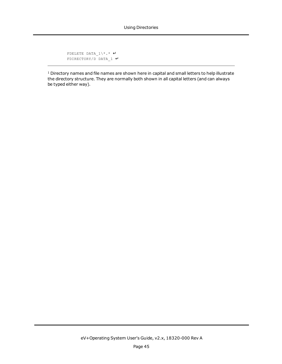```
FDELETE DATA_1\*.* ↵
FDIRECTORY/D DATA_1 ↵
```
<span id="page-44-0"></span><sup>[1](#page-29-1)</sup> Directory names and file names are shown here in capital and small letters to help illustrate the directory structure. They are normally both shown in all capital letters (and can always be typed either way).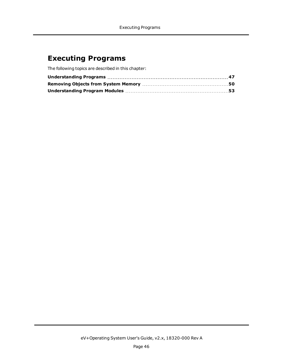## <span id="page-45-0"></span>**Executing Programs**

The following topics are described in this chapter: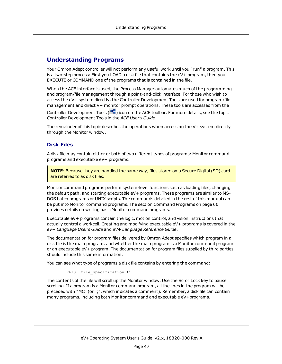## <span id="page-46-0"></span>**Understanding Programs**

Your Omron Adept controller will not perform any useful work until you "run" a program. This is a two-step process: First you LOAD a disk file that contains the eV+ program, then you EXECUTE or COMMAND one of the programs that is contained in the file.

When the ACE interface is used, the Process Manager automates much of the programming and program/file management through a point-and-click interface. For those who wish to access the eV+ system directly, the Controller Development Tools are used for program/file management and direct V+ monitor prompt operations. These tools are accessed from the

Controller Development Tools ( $\frac{m}{n}$ ) icon on the ACE toolbar. For more details, see the topic Controller Development Tools in the *ACE User's Guide*.

The remainder of this topic describes the operations when accessing the V+ system directly through the Monitor window.

### **Disk Files**

A disk file may contain either or both of two different types of programs: Monitor command programs and executable eV+ programs.

**NOTE**: Because they are handled the same way, files stored on a Secure Digital (SD) card are referred to as disk files.

Monitor command programs perform system-level functions such as loading files, changing the default path, and starting executable eV+ programs. These programs are similar to MS-DOS batch programs or UNIX scripts. The commands detailed in the rest of this manual can be put into Monitor command programs. The section [Command](#page-59-0) Programs on page 60 provides details on writing basic Monitor command programs.

Executable eV+ programs contain the logic, motion control, and vision instructions that actually control a workcell. Creating and modifying executable eV+ programs is covered in the *eV+ Language User's Guide* and *eV+ Language Reference Guide*.

The documentation for program files delivered by Omron Adept specifies which program in a disk file is the main program, and whether the main program is a Monitor command program or an executable eV+ program. The documentation for program files supplied by third parties should include this same information.

You can see what type of programs a disk file contains by entering the command:

```
FLIST file_specification ↵
```
The contents of the file will scroll up the Monitor window. Use the Scroll Lock key to pause scrolling. If a program is a Monitor command program, all the lines in the program will be preceded with "MC" (or ";", which indicates a comment). Remember, a disk file can contain many programs, including both Monitor command and executable eV+programs.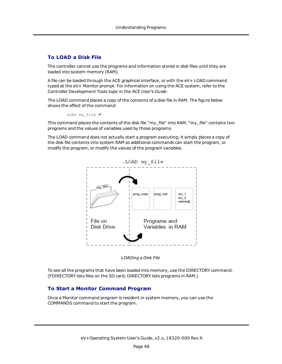## **To LOAD a Disk File**

The controller cannot use the programs and information stored in disk files until they are loaded into system memory (RAM).

A file can be loaded through the ACE graphical interface, or with the eV+ LOAD command typed at the eV+ Monitor prompt. For information on using the ACE system, refer to the Controller Development Tools topic in the *ACE User's Guide*.

The LOAD command places a copy of the contents of a disk file in RAM. The figure below shows the effect of the command:

LOAD my\_file ↵

This command places the contents of the disk file "my\_file" into RAM. "my\_file" contains two programs and the values of variables used by those programs.

The LOAD command does not actually start a program executing; it simply places a copy of the disk file contents into system RAM so additional commands can start the program, or modify the program, or modify the values of the program variables.



*LOADing a Disk File*

To see all the programs that have been loaded into memory, use the DIRECTORY command. (FDIRECTORY lists files on the SD card; DIRECTORY lists programs in RAM.)

## **To Start a Monitor Command Program**

Once a Monitor command program is resident in system memory, you can use the COMMANDS command to start the program.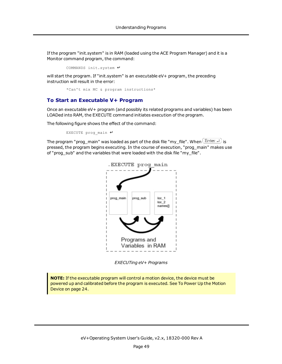If the program "init.system" is in RAM (loaded using the ACE Program Manager) and it is a Monitor command program, the command:

COMMANDS init.system ↵

will start the program. If "init.system" is an executable eV+ program, the preceding instruction will result in the error:

\*Can't mix MC & program instructions\*

#### **To Start an Executable V+ Program**

Once an executable eV+ program (and possibly its related programs and variables) has been LOADed into RAM, the EXECUTE command initiates execution of the program.

The following figure shows the effect of the command:

EXECUTE prog\_main ↵

The program "prog\_main" was loaded as part of the disk file "my\_file". When  $\overline{\text{Enter}}\downarrow$  is pressed, the program begins executing. In the course of execution, "prog\_main" makes use of "prog\_sub" and the variables that were loaded with the disk file "my\_file".



*EXECUTing eV+ Programs*

**NOTE:** If the executable program will control a motion device, the device must be powered up and calibrated before the program is executed. See To Power Up the [Motion](#page-23-0) [Device](#page-23-0) on page 24.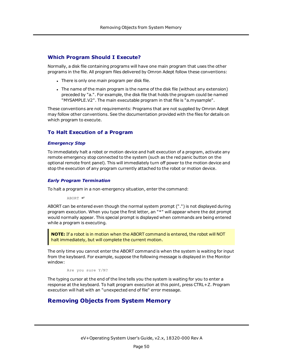#### **Which Program Should I Execute?**

Normally, a disk file containing programs will have one main program that uses the other programs in the file. All program files delivered by Omron Adept follow these conventions:

- **-** There is only one *main* program per disk file.
- I The name of the main program is the name of the disk file (without any extension) preceded by "a.". For example, the disk file that holds the program could be named "MYSAMPLE.V2". The main executable program in that file is "a.mysample".

These conventions are not requirements: Programs that are not supplied by Omron Adept may follow other conventions. See the documentation provided with the files for details on which program to execute.

#### **To Halt Execution of a Program**

#### *Emergency Stop*

To immediately halt a robot or motion device and halt execution of a program, activate any remote emergency stop connected to the system (such as the red panic button on the optional remote front panel). This will immediately turn off power to the motion device and stop the execution of any program currently attached to the robot or motion device.

#### *Early Program Termination*

To halt a program in a non-emergency situation, enter the command:

ABORT ↵

ABORT can be entered even though the normal system prompt (".") is not displayed during program execution. When you type the first letter, an "\*" will appear where the dot prompt would normally appear. This special prompt is displayed when commands are being entered while a program is executing.

**NOTE:** If a robot is in motion when the ABORT command is entered, the robot will NOT halt immediately, but will complete the current motion.

The only time you cannot enter the ABORT command is when the system is waiting for input from the keyboard. For example, suppose the following message is displayed in the Monitor window:

Are you sure Y/N?

The typing cursor at the end of the line tells you the system is waiting for you to enter a response at the keyboard. To halt program execution at this point, press CTRL+Z. Program execution will halt with an "unexpected end of file" error message.

## <span id="page-49-0"></span>**Removing Objects from System Memory**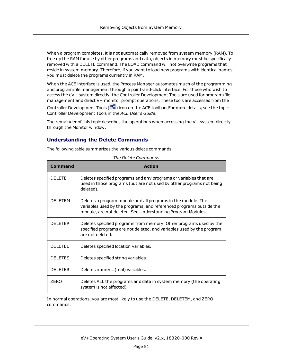When a program completes, it is not automatically removed from system memory (RAM). To free up the RAM for use by other programs and data, objects in memory must be specifically removed with a DELETE command. The LOAD command will not overwrite programs that reside in system memory. Therefore, if you want to load new programs with identical names, you must delete the programs currently in RAM.

When the ACE interface is used, the Process Manager automates much of the programming and program/file management through a point-and-click interface. For those who wish to access the eV+ system directly, the Controller Development Tools are used for program/file management and direct V+ monitor prompt operations. These tools are accessed from the

Controller Development Tools ( $\frac{m}{n}$ ) icon on the ACE toolbar. For more details, see the topic Controller Development Tools in the *ACE User's Guide*.

The remainder of this topic describes the operations when accessing the V+ system directly through the Monitor window.

## **Understanding the Delete Commands**

The following table summarizes the various delete commands.

| Command         | <b>Action</b>                                                                                                                                                                                      |
|-----------------|----------------------------------------------------------------------------------------------------------------------------------------------------------------------------------------------------|
| DEI FTE         | Deletes specified programs and any programs or variables that are<br>used in those programs (but are not used by other programs not being<br>deleted).                                             |
| <b>DEI FTEM</b> | Deletes a program module and all programs in the module. The<br>variables used by the programs, and referenced programs outside the<br>module, are not deleted. See Understanding Program Modules. |
| DEI ETEP        | Deletes specified programs from memory. Other programs used by the<br>specified programs are not deleted, and variables used by the program<br>are not deleted.                                    |
| DELETEL.        | Deletes specified location variables.                                                                                                                                                              |
| <b>DELETES</b>  | Deletes specified string variables.                                                                                                                                                                |
| <b>DELETER</b>  | Deletes numeric (real) variables.                                                                                                                                                                  |
| <b>ZERO</b>     | Deletes ALL the programs and data in system memory (the operating<br>system is not affected).                                                                                                      |

*The Delete Commands*

In normal operations, you are most likely to use the DELETE, DELETEM, and ZERO commands.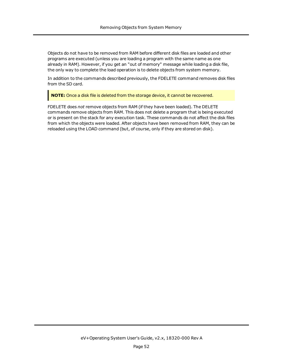Objects do not have to be removed from RAM before different disk files are loaded and other programs are executed (unless you are loading a program with the same name as one already in RAM). However, if you get an "out of memory" message while loading a disk file, the only way to complete the load operation is to delete objects from system memory.

In addition to the commands described previously, the FDELETE command removes disk files from the SD card.

**NOTE:** Once a disk file is deleted from the storage device, it cannot be recovered.

FDELETE does *not* remove objects from RAM (if they have been loaded). The DELETE commands remove objects from RAM. This does not delete a program that is being executed or is present on the stack for any execution task. These commands do not affect the disk files from which the objects were loaded. After objects have been removed from RAM, they can be reloaded using the LOAD command (but, of course, only if they are stored on disk).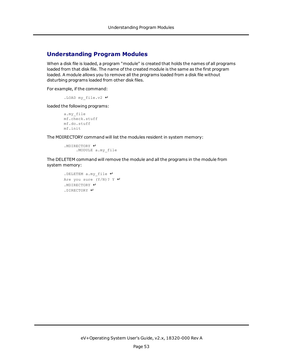## <span id="page-52-0"></span>**Understanding Program Modules**

When a disk file is loaded, a program "module" is created that holds the names of all programs loaded from that disk file. The name of the created module is the same as the first program loaded. A module allows you to remove all the programs loaded from a disk file without disturbing programs loaded from other disk files.

For example, if the command:

.LOAD my\_file.v2 ↵

loaded the following programs:

```
a.my_file
mf.check.stuff
mf.do.stuff
mf.init
```
The MDIRECTORY command will list the modules resident in system memory:

.MDIRECTORY ↵ .MODULE a.my\_file

The DELETEM command will remove the module and all the programs in the module from system memory:

```
.DELETEM a.my_file ↵
Are you sure (Y/N)? Y ↵
.MDIRECTORY ↵
.DIRECTORY ↵
```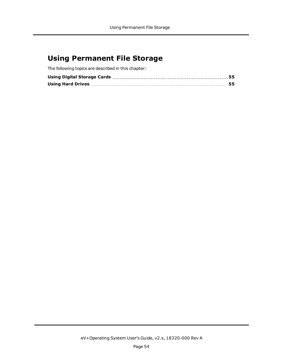## <span id="page-53-0"></span>**Using Permanent File Storage**

The following topics are described in this chapter: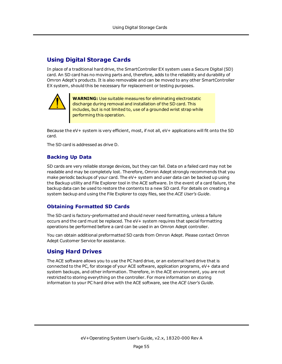## <span id="page-54-0"></span>**Using Digital Storage Cards**

In place of a traditional hard drive, the SmartController EX system uses a Secure Digital (SD) card. An SD card has no moving parts and, therefore, adds to the reliability and durability of Omron Adept's products. It is also removable and can be moved to any other SmartController EX system, should this be necessary for replacement or testing purposes.



**WARNING:** Use suitable measures for eliminating electrostatic discharge during removal and installation of the SD card. This includes, but is not limited to, use of a grounded wrist strap while performing this operation.

Because the eV+ system is very efficient, most, if not all, eV+ applications will fit onto the SD card.

The SD card is addressed as drive D.

### **Backing Up Data**

SD cards are very reliable storage devices, but they can fail. Data on a failed card may not be readable and may be completely lost. Therefore, Omron Adept strongly recommends that you make periodic backups of your card. The eV+ system and user data can be backed up using the Backup utility and File Explorer tool in the ACE software. In the event of a card failure, the backup data can be used to restore the contents to a new SD card. For details on creating a system backup and using the File Explorer to copy files, see the *ACE User's Guide*.

## **Obtaining Formatted SD Cards**

The SD card is factory-preformatted and should never need formatting, unless a failure occurs and the card must be replaced. The eV+ system requires that special formatting operations be performed before a card can be used in an Omron Adept controller.

<span id="page-54-1"></span>You can obtain additional preformatted SD cards from Omron Adept. Please contact Omron Adept Customer Service for assistance.

## **Using Hard Drives**

The ACE software allows you to use the PC hard drive, or an external hard drive that is connected to the PC, for storage of your ACE software, application programs, eV+ data and system backups, and other information. Therefore, in the ACE environment, you are not restricted to storing everything on the controller. For more information on storing information to your PC hard drive with the ACE software, see the *ACE User's Guide*.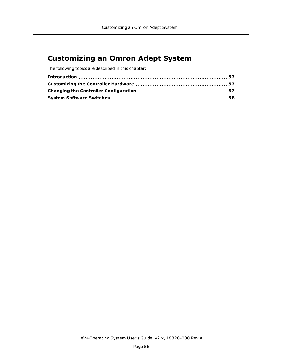## <span id="page-55-0"></span>**Customizing an Omron Adept System**

The following topics are described in this chapter: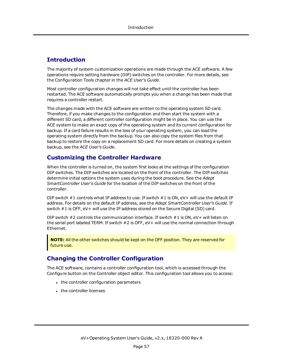## <span id="page-56-0"></span>**Introduction**

The majority of system customization operations are made through the ACE software. A few operations require setting hardware (DIP) switches on the controller. For more details, see the Configuration Tools chapter in the *ACE User's Guide*.

Most controller configuration changes will not take effect until the controller has been restarted. The ACE software automatically prompts you when a change has been made that requires a controller restart.

The changes made with the ACE software are written to the operating system SD card. Therefore, if you make changes to the configuration and then start the system with a different SD card, a different controller configuration might be in place. You can use the ACE system to make an exact copy of the operating system and its current configuration for backup. If a card failure results in the loss of your operating system, you can load the operating system directly from the backup. You can also copy the system files from that backup to restore the copy on a replacement SD card. For more details on creating a system backup, see the *ACE User's Guide*.

## <span id="page-56-1"></span>**Customizing the Controller Hardware**

When the controller is turned on, the system first looks at the settings of the configuration DIP switches. The DIP switches are located on the front of the controller. The DIP switches determine initial options the system uses during the boot procedure. See the *Adept SmartController User's Guide* for the location of the DIP switches on the front of the controller.

DIP switch #1 controls what IP address to use. If switch #1 is ON, eV+ will use the default IP address. For details on the default IP address, see the *Adept SmartController User's Guide*. If switch #1 is OFF, eV+ will use the IP address stored on the Secure Digital (SD) card.

DIP switch #2 controls the communication interface. If switch #1 is ON, eV+ will listen on the serial port labeled TERM. If switch #2 is OFF, eV+ will use the normal connection through Ethernet.

**NOTE:** All the other switches should be kept on the OFF position. They are reserved for future use.

## <span id="page-56-2"></span>**Changing the Controller Configuration**

The ACE software, contains a controller configuration tool, which is accessed through the Configure button on the Controller object editor. This configuration tool allows you to access:

- the controller configuration parameters
- the controller licenses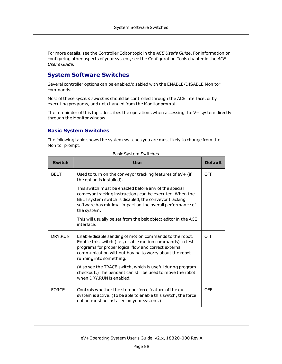For more details, see the Controller Editor topic in the *ACE User's Guide*. For information on configuring other aspects of your system, see the Configuration Tools chapter in the *ACE User's Guide*.

## <span id="page-57-0"></span>**System Software Switches**

Several controller options can be enabled/disabled with the ENABLE/DISABLE Monitor commands.

Most of these *system switches* should be controlled through the ACE interface, or by executing programs, and not changed from the Monitor prompt.

The remainder of this topic describes the operations when accessing the V+ system directly through the Monitor window.

### **Basic System Switches**

The following table shows the system switches you are most likely to change from the Monitor prompt.

| <b>Switch</b> | <b>Use</b>                                                                                                                                                                                                                                                         | <b>Default</b> |
|---------------|--------------------------------------------------------------------------------------------------------------------------------------------------------------------------------------------------------------------------------------------------------------------|----------------|
| <b>BELT</b>   | Used to turn on the conveyor tracking features of eV+ (if<br>the option is installed).                                                                                                                                                                             | <b>OFF</b>     |
|               | This switch must be enabled before any of the special<br>conveyor tracking instructions can be executed. When the<br>BELT system switch is disabled, the conveyor tracking<br>software has minimal impact on the overall performance of<br>the system.             |                |
|               | This will usually be set from the belt object editor in the ACE<br>interface.                                                                                                                                                                                      |                |
| DRY.RUN       | Enable/disable sending of motion commands to the robot.<br>Enable this switch (i.e., disable motion commands) to test<br>programs for proper logical flow and correct external<br>communication without having to worry about the robot<br>running into something. | <b>OFF</b>     |
|               | (Also see the TRACE switch, which is useful during program<br>checkout.) The pendant can still be used to move the robot<br>when DRY.RUN is enabled.                                                                                                               |                |
| <b>FORCE</b>  | Controls whether the stop-on-force feature of the eV+<br>system is active. (To be able to enable this switch, the force<br>option must be installed on your system.)                                                                                               | <b>OFF</b>     |

#### Basic System Switches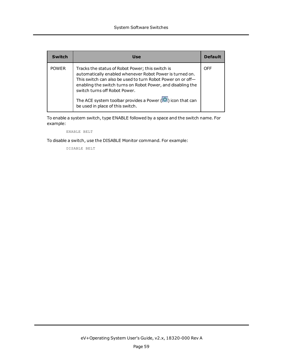| Switch       | Use                                                                                                                                                                                                                                                                                                                                                                                         | <b>Default</b> |
|--------------|---------------------------------------------------------------------------------------------------------------------------------------------------------------------------------------------------------------------------------------------------------------------------------------------------------------------------------------------------------------------------------------------|----------------|
| <b>POWER</b> | Tracks the status of Robot Power; this switch is<br>automatically enabled whenever Robot Power is turned on.<br>This switch can also be used to turn Robot Power on or off-<br>enabling the switch turns on Robot Power, and disabling the<br>switch turns off Robot Power.<br>The ACE system toolbar provides a Power $\left(\bigcirc$ ) icon that can<br>be used in place of this switch. | OFF            |

To enable a system switch, type ENABLE followed by a space and the switch name. For example:

ENABLE BELT

To disable a switch, use the DISABLE Monitor command. For example:

DISABLE BELT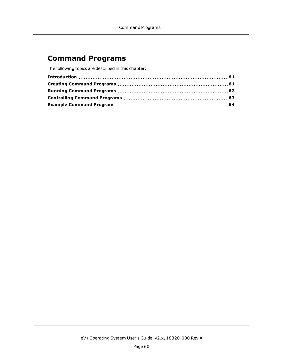## <span id="page-59-0"></span>**Command Programs**

The following topics are described in this chapter: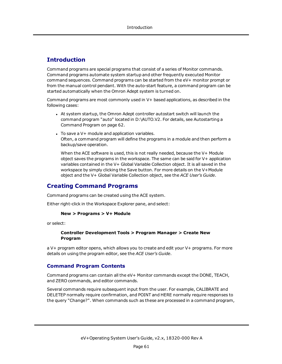## <span id="page-60-0"></span>**Introduction**

Command programs are special programs that consist of a series of Monitor commands. Command programs automate system startup and other frequently executed Monitor command sequences. Command programs can be started from the eV+ monitor prompt or from the manual control pendant. With the auto-start feature, a command program can be started automatically when the Omron Adept system is turned on.

Command programs are most commonly used in V+ based applications, as described in the following cases:

- At system startup, the Omron Adept controller autostart switch will launch the command program "auto" located in D:\AUTO.V2. For details, see [Autostarting](#page-61-1) a [Command](#page-61-1) Program on page 62.
- $\bullet$  To save a V+ module and application variables. Often, a command program will define the programs in a module and then perform a backup/save operation.

When the ACE software is used, this is not really needed, because the V+ Module object saves the programs in the workspace. The same can be said for V+ application variables contained in the V+ Global Variable Collection object. It is all saved in the workspace by simply clicking the Save button. For more details on the V+Module object and the V+ Global Variable Collection object, see the *ACE User's Guide*.

## <span id="page-60-1"></span>**Creating Command Programs**

Command programs can be created using the ACE system.

Either right-click in the Workspace Explorer pane, and select:

#### **New > Programs > V+ Module**

or select:

#### **Controller Development Tools > Program Manager > Create New Program**

a V+ program editor opens, which allows you to create and edit your V+ programs. For more details on using the program editor, see the *ACE User's Guide*.

#### **Command Program Contents**

Command programs can contain all the eV+ Monitor commands except the DONE, TEACH, and ZERO commands, and editor commands.

Several commands require subsequent input from the user. For example, CALIBRATE and DELETEP normally require confirmation, and POINT and HERE normally require responses to the query "Change?". When commands such as these are processed in a command program,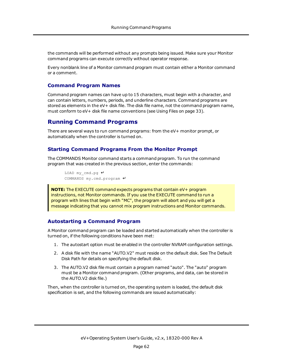the commands will be performed without any prompts being issued. Make sure your Monitor command programs can execute correctly without operator response.

Every nonblank line of a Monitor command program must contain either a Monitor command or a comment.

#### **Command Program Names**

Command program names can have up to 15 characters, must begin with a character, and can contain letters, numbers, periods, and underline characters. Command programs are stored as elements in the eV+ disk file. The disk file name, not the command program name, must conform to eV+ disk file name conventions (see [Using](#page-32-0) Files on page 33).

## <span id="page-61-0"></span>**Running Command Programs**

There are several ways to run command programs: from the eV+ monitor prompt, or automatically when the controller is turned on.

#### **Starting Command Programs From the Monitor Prompt**

The COMMANDS Monitor command starts a command program. To run the command program that was created in the previous section, enter the commands:

```
LOAD my_cmd.pg ↵
COMMANDS my.cmd.program ↵
```
**NOTE:** The EXECUTE command expects programs that contain eV+ program instructions, not Monitor commands. If you use the EXECUTE command to run a program with lines that begin with "MC", the program will abort and you will get a message indicating that you cannot mix program instructions and Monitor commands.

#### <span id="page-61-1"></span>**Autostarting a Command Program**

A Monitor command program can be loaded and started automatically when the controller is turned on, if the following conditions have been met:

- 1. The autostart option must be enabled in the controller NVRAM configuration settings.
- 2. A disk file with the name "AUTO.V2" must reside on the default disk. See The Default Disk Path for details on specifying the default disk.
- 3. The AUTO.V2 disk file must contain a program named "auto". The "auto" program must be a Monitor command program. (Other programs, and data, can be stored in the AUTO.V2 disk file.)

Then, when the controller is turned on, the operating system is loaded, the default disk specification is set, and the following commands are issued automatically: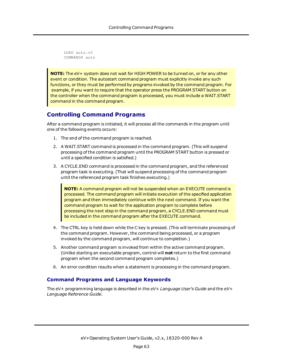LOAD auto.v2 COMMANDS auto

**NOTE:** The eV+ system does not wait for HIGH POWER to be turned on, or for any other event or condition. The autostart command program must explicitly invoke any such functions, or they must be performed by programs invoked by the command program. For example, if you want to require that the operator press the PROGRAM START button on the controller when the command program is processed, you must include a WAIT.START command in the command program.

## <span id="page-62-0"></span>**Controlling Command Programs**

After a command program is initiated, it will process all the commands in the program until one of the following events occurs:

- 1. The end of the command program is reached.
- 2. A WAIT.START command is processed in the command program. (This will suspend processing of the command program until the PROGRAM START button is pressed or until a specified condition is satisfied.)
- 3. A CYCLE.END command is processed in the command program, and the referenced program task is executing. (That will suspend processing of the command program until the referenced program task finishes executing.)

**NOTE:** A command program will not be suspended when an EXECUTE command is processed. The command program will initiate execution of the specified application program and then immediately continue with the next command. If you want the command program to wait for the application program to complete before processing the next step in the command program, a CYCLE.END command must be included in the command program after the EXECUTE command.

- 4. The CTRL key is held down while the C key is pressed. (This will terminate processing of the command program. However, the command being processed, or a program invoked by the command program, will continue to completion.)
- 5. Another command program is invoked from within the active command program. (Unlike starting an executable program, control will **not** return to the first command program when the second command program completes.)
- 6. An error condition results when a statement is processing in the command program.

## **Command Programs and Language Keywords**

The eV+ programming language is described in the *eV+ Language User's Guide* and the *eV+ Language Reference Guide*.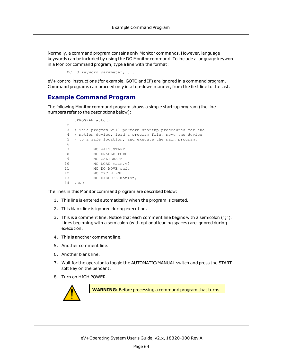Normally, a command program contains only Monitor commands. However, language keywords can be included by using the DO Monitor command. To include a language keyword in a Monitor command program, type a line with the format:

MC DO keyword parameter, ...

<span id="page-63-0"></span>eV+ control instructions (for example, GOTO and IF) are ignored in a command program. Command programs can proceed only in a top-down manner, from the first line to the last.

### **Example Command Program**

The following Monitor command program shows a simple start-up program (the line numbers refer to the descriptions below):

```
1 .PROGRAM auto()
2
3 ; This program will perform startup procedures for the
 4 ; motion device, load a program file, move the device
5 ; to a safe location, and execute the main program.
 6
7 MC WAIT.START
8 MC ENABLE POWER
9 MC CALIBRATE
10 MC LOAD main.v2
11 MC DO MOVE safe
12 MC CYCLE.END
13 MC EXECUTE motion, -1
14 .END
```
The lines in this Monitor command program are described below:

- 1. This line is entered automatically when the program is created.
- 2. This blank line is ignored during execution.
- 3. This is a comment line. Notice that each comment line begins with a semicolon (";"). Lines beginning with a semicolon (with optional leading spaces) are ignored during execution.
- 4. This is another comment line.
- 5. Another comment line.
- 6. Another blank line.
- 7. Wait for the operator to toggle the AUTOMATIC/MANUAL switch and press the START soft key on the pendant.
- 8. Turn on HIGH POWER.



**WARNING:** Before processing a command program that turns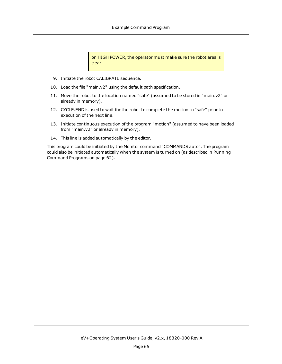on HIGH POWER, the operator must make sure the robot area is clear.

- 9. Initiate the robot CALIBRATE sequence.
- 10. Load the file "main.v2" using the default path specification.
- 11. Move the robot to the location named "safe" (assumed to be stored in "main.v2" or already in memory).
- 12. CYCLE.END is used to wait for the robot to complete the motion to "safe" prior to execution of the next line.
- 13. Initiate continuous execution of the program "motion" (assumed to have been loaded from "main.v2" or already in memory).
- 14. This line is added automatically by the editor.

This program could be initiated by the Monitor command "COMMANDS auto". The program could also be initiated automatically when the system is turned on (as described in [Running](#page-61-0) [Command](#page-61-0) Programs on page 62).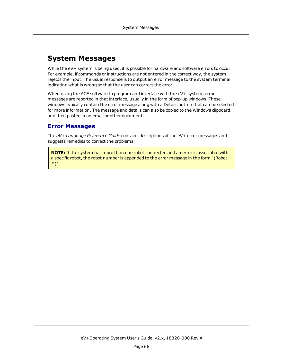## <span id="page-65-0"></span>**System Messages**

While the eV+ system is being used, it is possible for hardware and software errors to occur. For example, if commands or instructions are not entered in the correct way, the system rejects the input. The usual response is to output an error message to the system terminal indicating what is wrong so that the user can correct the error.

When using the ACE software to program and interface with the eV+ system, error messages are reported in that interface, usually in the form of pop-up windows. These windows typically contain the error message along with a Details button that can be selected for more information. The message and details can also be copied to the Windows clipboard and then pasted in an email or other document.

## <span id="page-65-1"></span>**Error Messages**

The *eV+ Language Reference Guide* contains descriptions of the eV+ error messages and suggests remedies to correct the problems.

**NOTE:** If the system has more than one robot connected and an error is associated with a specific robot, the robot number is appended to the error message in the form "(Robot #)".